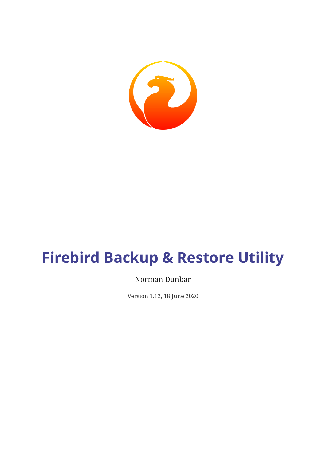

# **Firebird Backup & Restore Utility**

#### Norman Dunbar

Version 1.12, 18 June 2020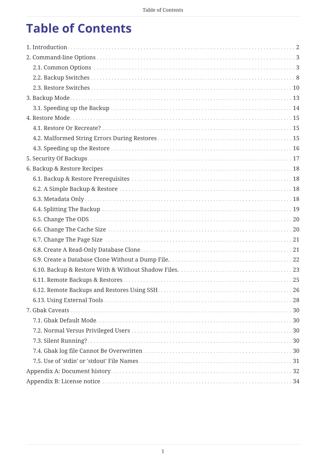# **Table of Contents**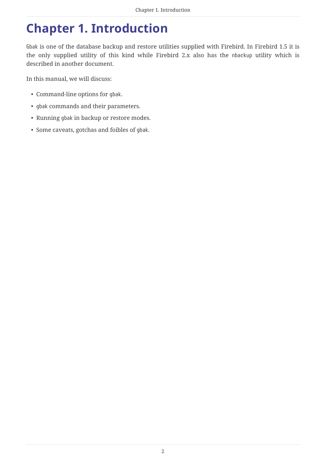# <span id="page-2-0"></span>**Chapter 1. Introduction**

Gbak is one of the database backup and restore utilities supplied with Firebird. In Firebird 1.5 it is the only supplied utility of this kind while Firebird 2.x also has the nbackup utility which is described in another document.

In this manual, we will discuss:

- Command-line options for gbak.
- gbak commands and their parameters.
- Running gbak in backup or restore modes.
- Some caveats, gotchas and foibles of gbak.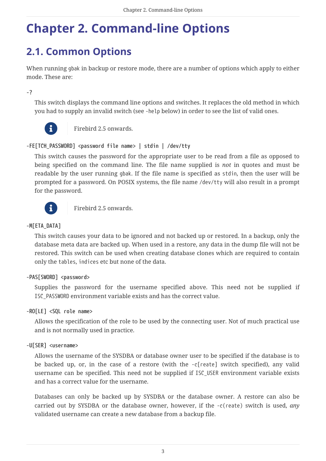# <span id="page-3-0"></span>**Chapter 2. Command-line Options**

# <span id="page-3-1"></span>**2.1. Common Options**

When running gbak in backup or restore mode, there are a number of options which apply to either mode. These are:

**-?**

This switch displays the command line options and switches. It replaces the old method in which you had to supply an invalid switch (see -help below) in order to see the list of valid ones.



Firebird 2.5 onwards.

#### **-FE[TCH\_PASSWORD] <password file name> | stdin | /dev/tty**

This switch causes the password for the appropriate user to be read from a file as opposed to being specified on the command line. The file name supplied is *not* in quotes and must be readable by the user running gbak. If the file name is specified as stdin, then the user will be prompted for a password. On POSIX systems, the file name /dev/tty will also result in a prompt for the password.



**Film** Firebird 2.5 onwards.

#### **-M[ETA\_DATA]**

This switch causes your data to be ignored and not backed up or restored. In a backup, only the database meta data are backed up. When used in a restore, any data in the dump file will not be restored. This switch can be used when creating database clones which are required to contain only the tables, indices etc but none of the data.

#### **-PAS[SWORD] <password>**

Supplies the password for the username specified above. This need not be supplied if ISC\_PASSWORD environment variable exists and has the correct value.

#### **-RO[LE] <SQL role name>**

Allows the specification of the role to be used by the connecting user. Not of much practical use and is not normally used in practice.

#### **-U[SER] <username>**

Allows the username of the SYSDBA or database owner user to be specified if the database is to be backed up, or, in the case of a restore (with the -c[reate] switch specified), any valid username can be specified. This need not be supplied if ISC\_USER environment variable exists and has a correct value for the username.

Databases can only be backed up by SYSDBA or the database owner. A restore can also be carried out by SYSDBA or the database owner, however, if the -c(reate) switch is used, *any* validated username can create a new database from a backup file.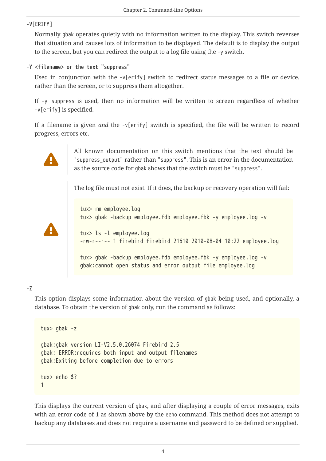#### **-V[ERIFY]**

Normally gbak operates quietly with no information written to the display. This switch reverses that situation and causes lots of information to be displayed. The default is to display the output to the screen, but you can redirect the output to a log file using the -y switch.

#### **-Y <filename> or the text "suppress"**

Used in conjunction with the -v[erify] switch to redirect status messages to a file or device, rather than the screen, or to suppress them altogether.

If -y suppress is used, then no information will be written to screen regardless of whether -v[erify] is specified.

If a filename is given *and* the -v[erify] switch is specified, the file will be written to record progress, errors etc.



All known documentation on this switch mentions that the text should be "suppress\_output" rather than "suppress". This is an error in the documentation as the source code for gbak shows that the switch must be "suppress".

The log file must not exist. If it does, the backup or recovery operation will fail:



tux> rm employee.log tux> gbak -backup employee.fdb employee.fbk -y employee.log -v tux> ls -l employee.log -rw-r--r-- 1 firebird firebird 21610 2010-08-04 10:22 employee.log tux> gbak -backup employee.fdb employee.fbk -y employee.log -v

#### **-Z**

This option displays some information about the version of gbak being used, and optionally, a database. To obtain the version of gbak only, run the command as follows:

gbak:cannot open status and error output file employee.log

```
tux> gbak -z
gbak:gbak version LI-V2.5.0.26074 Firebird 2.5
gbak: ERROR:requires both input and output filenames
gbak:Exiting before completion due to errors
tux> echo $?
1
```
This displays the current version of gbak, and after displaying a couple of error messages, exits with an error code of 1 as shown above by the echo command. This method does not attempt to backup any databases and does not require a username and password to be defined or supplied.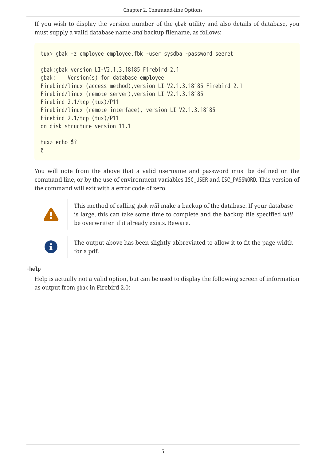If you wish to display the version number of the gbak utility and also details of database, you must supply a valid database name *and* backup filename, as follows:

```
tux> gbak -z employee employee.fbk -user sysdba -password secret
gbak:gbak version LI-V2.1.3.18185 Firebird 2.1
gbak: Version(s) for database employee
Firebird/linux (access method),version LI-V2.1.3.18185 Firebird 2.1
Firebird/linux (remote server),version LI-V2.1.3.18185
Firebird 2.1/tcp (tux)/P11
Firebird/linux (remote interface), version LI-V2.1.3.18185
Firebird 2.1/tcp (tux)/P11
on disk structure version 11.1
tux> echo $?
0
```
You will note from the above that a valid username and password must be defined on the command line, or by the use of environment variables ISC\_USER and ISC\_PASSWORD. This version of the command will exit with a error code of zero.



This method of calling gbak *will* make a backup of the database. If your database is large, this can take some time to complete and the backup file specified *will* be overwritten if it already exists. Beware.



The output above has been slightly abbreviated to allow it to fit the page width for a pdf.

#### **-help**

Help is actually not a valid option, but can be used to display the following screen of information as output from gbak in Firebird 2.0: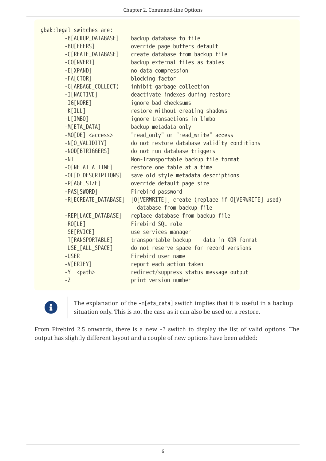| gbak: legal switches are: |                                                                                 |
|---------------------------|---------------------------------------------------------------------------------|
| -B[ACKUP_DATABASE]        | backup database to file                                                         |
| -BU[FFERS]                | override page buffers default                                                   |
| -C[REATE_DATABASE]        | create database from backup file                                                |
| $-CO[NVERT]$              | backup external files as tables                                                 |
| $-E[XPAND]$               | no data compression                                                             |
| $-FA[CTOR]$               | blocking factor                                                                 |
| -G[ARBAGE_COLLECT)        | inhibit garbage collection                                                      |
| -I[NACTIVE]               | deactivate indexes during restore                                               |
| $-IG[NORE]$               | ignore bad checksums                                                            |
| $-K[ILL]$                 | restore without creating shadows                                                |
| $-L[IMBO]$                | ignore transactions in limbo                                                    |
| -M[ETA_DATA]              | backup metadata only                                                            |
| -MO[DE] <access></access> | "read_only" or "read_write" access                                              |
| -N[O_VALIDITY]            | do not restore database validity conditions                                     |
| -NOD[BTRIGGERS]           | do not run database triggers                                                    |
| $-NT$                     | Non-Transportable backup file format                                            |
| $-0[NE_AT_A_TIME]$        | restore one table at a time                                                     |
| -OL[D_DESCRIPTIONS]       | save old style metadata descriptions                                            |
| $-P[AGE_SIZE]$            | override default page size                                                      |
| -PAS[SWORD]               | Firebird password                                                               |
| -R[ECREATE_DATABASE]      | [O[VERWRITE]] create (replace if O[VERWRITE] used)<br>database from backup file |
| -REP[LACE_DATABASE]       | replace database from backup file                                               |
| $-RO[LE]$                 | Firebird SQL role                                                               |
| -SE[RVICE]                | use services manager                                                            |
| -T[RANSPORTABLE]          | transportable backup -- data in XDR format                                      |
| -USE_[ALL_SPACE]          | do not reserve space for record versions                                        |
| -USER                     | Firebird user name                                                              |
| $-V[ERIFY]$               | report each action taken                                                        |
| -Y <path></path>          | redirect/suppress status message output                                         |
| $-Z$                      | print version number                                                            |



The explanation of the -m[eta\_data] switch implies that it is useful in a backup situation only. This is not the case as it can also be used on a restore.

From Firebird 2.5 onwards, there is a new -? switch to display the list of valid options. The output has slightly different layout and a couple of new options have been added: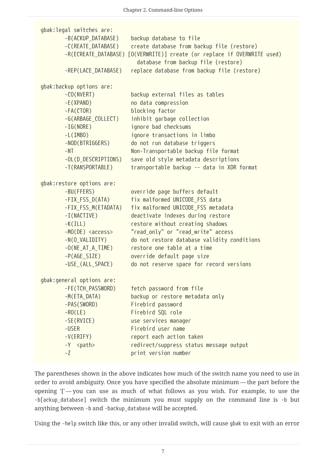|  | gbak: legal switches are:            |                                                                                                                        |  |  |  |  |
|--|--------------------------------------|------------------------------------------------------------------------------------------------------------------------|--|--|--|--|
|  | -B(ACKUP_DATABASE)                   | backup database to file                                                                                                |  |  |  |  |
|  | -C(REATE DATABASE)                   | create database from backup file (restore)<br>-R(ECREATE_DATABASE) [O(VERWRITE)] create (or replace if OVERWRITE used) |  |  |  |  |
|  |                                      | database from backup file (restore)                                                                                    |  |  |  |  |
|  | -REP(LACE_DATABASE)                  | replace database from backup file (restore)                                                                            |  |  |  |  |
|  |                                      |                                                                                                                        |  |  |  |  |
|  | gbak:backup options are:             |                                                                                                                        |  |  |  |  |
|  | $-CO(NVERT)$<br>$-E(XPAND)$          | backup external files as tables<br>no data compression                                                                 |  |  |  |  |
|  | $-FA(CTOR)$                          | blocking factor                                                                                                        |  |  |  |  |
|  | -G(ARBAGE_COLLECT)                   | inhibit garbage collection                                                                                             |  |  |  |  |
|  | $-IG(NORE)$                          | ignore bad checksums                                                                                                   |  |  |  |  |
|  | $-L(IMBO)$                           | ignore transactions in limbo                                                                                           |  |  |  |  |
|  | -NOD(BTRIGGERS)                      | do not run database triggers                                                                                           |  |  |  |  |
|  | $-NT$                                | Non-Transportable backup file format                                                                                   |  |  |  |  |
|  | -OL(D_DESCRIPTIONS)                  | save old style metadata descriptions                                                                                   |  |  |  |  |
|  | -T(RANSPORTABLE)                     | transportable backup -- data in XDR format                                                                             |  |  |  |  |
|  | gbak: restore options are:           |                                                                                                                        |  |  |  |  |
|  | -BU(FFERS)                           | override page buffers default                                                                                          |  |  |  |  |
|  | -FIX_FSS_D(ATA)                      | fix malformed UNICODE_FSS data                                                                                         |  |  |  |  |
|  | -FIX_FSS_M(ETADATA)                  | fix malformed UNICODE_FSS metadata                                                                                     |  |  |  |  |
|  | $-I(NACTIVE)$                        | deactivate indexes during restore                                                                                      |  |  |  |  |
|  | $-K(ILL)$                            | restore without creating shadows                                                                                       |  |  |  |  |
|  | $-MO(DE) access$                     | "read_only" or "read_write" access                                                                                     |  |  |  |  |
|  | -N(O_VALIDITY)                       | do not restore database validity conditions                                                                            |  |  |  |  |
|  | $-0(NE_A T_A_THE)$                   | restore one table at a time                                                                                            |  |  |  |  |
|  | $-P(AGE_SIZE)$                       | override default page size                                                                                             |  |  |  |  |
|  | -USE_(ALL_SPACE)                     | do not reserve space for record versions                                                                               |  |  |  |  |
|  | gbak: general options are:           |                                                                                                                        |  |  |  |  |
|  | -FE(TCH PASSWORD)                    | fetch password from file                                                                                               |  |  |  |  |
|  | $-M(ETA DATA)$                       | backup or restore metadata only                                                                                        |  |  |  |  |
|  | -PAS(SWORD)                          | Firebird password                                                                                                      |  |  |  |  |
|  | $-RO(LE)$                            | Firebird SQL role                                                                                                      |  |  |  |  |
|  | -SE(RVICE)                           | use services manager                                                                                                   |  |  |  |  |
|  | -USER                                | Firebird user name                                                                                                     |  |  |  |  |
|  | $-V(ERIFY)$                          | report each action taken                                                                                               |  |  |  |  |
|  | -Y <path><br/><math>-Z</math></path> | redirect/suppress status message output                                                                                |  |  |  |  |
|  |                                      | print version number                                                                                                   |  |  |  |  |

The parentheses shown in the above indicates how much of the switch name you need to use in order to avoid ambiguity. Once you have specified the absolute minimum — the part before the opening '[' — you can use as much of what follows as you wish. For example, to use the -b[ackup\_database] switch the minimum you must supply on the command line is -b but anything between -b and -backup\_database will be accepted.

Using the -help switch like this, or any other invalid switch, will cause gbak to exit with an error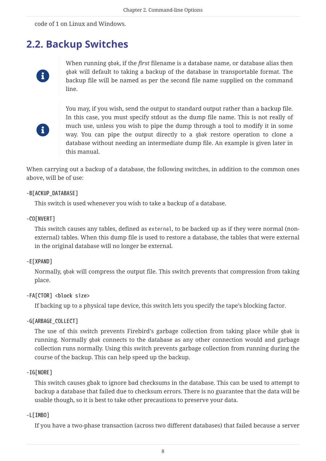code of 1 on Linux and Windows.

### <span id="page-8-0"></span>**2.2. Backup Switches**



When running gbak, if the *first* filename is a database name, or database alias then gbak will default to taking a backup of the database in transportable format. The backup file will be named as per the second file name supplied on the command line.



You may, if you wish, send the output to standard output rather than a backup file. In this case, you must specify stdout as the dump file name. This is not really of much use, unless you wish to pipe the dump through a tool to modify it in some way. You can pipe the output directly to a gbak restore operation to clone a database without needing an intermediate dump file. An example is given later in this manual.

When carrying out a backup of a database, the following switches, in addition to the common ones above, will be of use:

#### **-B[ACKUP\_DATABASE]**

This switch is used whenever you wish to take a backup of a database.

#### **-CO[NVERT]**

This switch causes any tables, defined as external, to be backed up as if they were normal (nonexternal) tables. When this dump file is used to restore a database, the tables that were external in the original database will no longer be external.

#### **-E[XPAND]**

Normally, gbak will compress the output file. This switch prevents that compression from taking place.

#### **-FA[CTOR] <block size>**

If backing up to a physical tape device, this switch lets you specify the tape's blocking factor.

#### **-G[ARBAGE\_COLLECT]**

The use of this switch prevents Firebird's garbage collection from taking place while gbak is running. Normally gbak connects to the database as any other connection would and garbage collection runs normally. Using this switch prevents garbage collection from running during the course of the backup. This can help speed up the backup.

#### **-IG[NORE]**

This switch causes gbak to ignore bad checksums in the database. This can be used to attempt to backup a database that failed due to checksum errors. There is no guarantee that the data will be usable though, so it is best to take other precautions to preserve your data.

#### **-L[IMBO]**

If you have a two-phase transaction (across two different databases) that failed because a server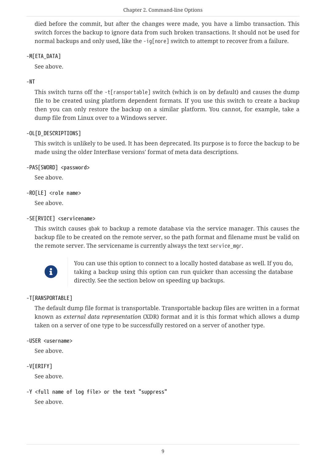died before the commit, but after the changes were made, you have a limbo transaction. This switch forces the backup to ignore data from such broken transactions. It should not be used for normal backups and only used, like the -ig[nore] switch to attempt to recover from a failure.

#### **-M[ETA\_DATA]**

See above.

#### **-NT**

This switch turns off the -t[ransportable] switch (which is on by default) and causes the dump file to be created using platform dependent formats. If you use this switch to create a backup then you can only restore the backup on a similar platform. You cannot, for example, take a dump file from Linux over to a Windows server.

#### **-OL[D\_DESCRIPTIONS]**

This switch is unlikely to be used. It has been deprecated. Its purpose is to force the backup to be made using the older InterBase versions' format of meta data descriptions.

**-PAS[SWORD] <password>**

See above.

```
-RO[LE] <role name>
```
See above.

#### **-SE[RVICE] <servicename>**

This switch causes gbak to backup a remote database via the service manager. This causes the backup file to be created on the remote server, so the path format and filename must be valid on the remote server. The servicename is currently always the text service\_mgr.



You can use this option to connect to a locally hosted database as well. If you do, taking a backup using this option can run quicker than accessing the database directly. See the section below on speeding up backups.

#### **-T[RANSPORTABLE]**

The default dump file format is transportable. Transportable backup files are written in a format known as *external data representation* (XDR) format and it is this format which allows a dump taken on a server of one type to be successfully restored on a server of another type.

#### **-USER <username>**

See above.

#### **-V[ERIFY]**

See above.

```
-Y <full name of log file> or the text "suppress"
```
See above.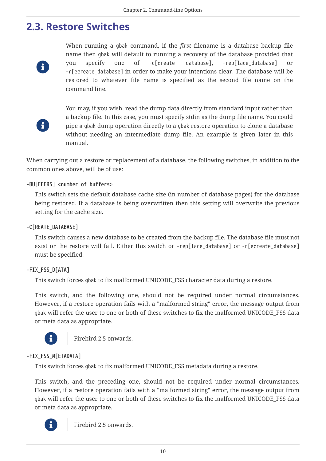### <span id="page-10-0"></span>**2.3. Restore Switches**

i.

When running a gbak command, if the *first* filename is a database backup file name then gbak will default to running a recovery of the database provided that you specify one of -c[create database], -rep[lace\_database] or -r[ecreate\_database] in order to make your intentions clear. The database will be restored to whatever file name is specified as the second file name on the command line.



You may, if you wish, read the dump data directly from standard input rather than a backup file. In this case, you must specify stdin as the dump file name. You could pipe a gbak dump operation directly to a gbak restore operation to clone a database without needing an intermediate dump file. An example is given later in this manual.

When carrying out a restore or replacement of a database, the following switches, in addition to the common ones above, will be of use:

#### **-BU[FFERS] <number of buffers>**

This switch sets the default database cache size (in number of database pages) for the database being restored. If a database is being overwritten then this setting will overwrite the previous setting for the cache size.

#### **-C[REATE\_DATABASE]**

This switch causes a new database to be created from the backup file. The database file must not exist or the restore will fail. Either this switch or -rep[lace database] or -r[ecreate database] must be specified.

#### **-FIX\_FSS\_D[ATA]**

This switch forces gbak to fix malformed UNICODE\_FSS character data during a restore.

This switch, and the following one, should not be required under normal circumstances. However, if a restore operation fails with a "malformed string" error, the message output from gbak will refer the user to one or both of these switches to fix the malformed UNICODE\_FSS data or meta data as appropriate.



Firebird 2.5 onwards.

#### **-FIX\_FSS\_M[ETADATA]**

This switch forces gbak to fix malformed UNICODE\_FSS metadata during a restore.

This switch, and the preceding one, should not be required under normal circumstances. However, if a restore operation fails with a "malformed string" error, the message output from gbak will refer the user to one or both of these switches to fix the malformed UNICODE\_FSS data or meta data as appropriate.



Firebird 2.5 onwards.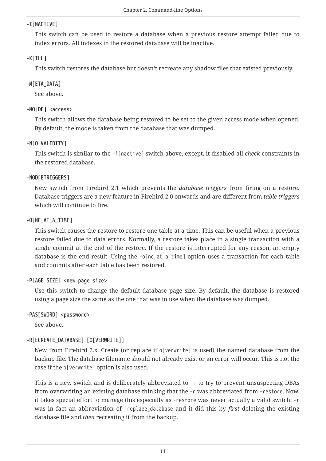#### **-I[NACTIVE]**

This switch can be used to restore a database when a previous restore attempt failed due to index errors. All indexes in the restored database will be inactive.

#### **-K[ILL]**

This switch restores the database but doesn't recreate any shadow files that existed previously.

#### **-M[ETA\_DATA]**

See above.

#### **-MO[DE] <access>**

This switch allows the database being restored to be set to the given access mode when opened. By default, the mode is taken from the database that was dumped.

#### **-N[O\_VALIDITY]**

This switch is similar to the -i[nactive] switch above, except, it disabled all *check* constraints in the restored database.

#### **-NOD[BTRIGGERS]**

New switch from Firebird 2.1 which prevents the *database triggers* from firing on a restore. Database triggers are a new feature in Firebird 2.0 onwards and are different from *table triggers* which will continue to fire.

#### **-O[NE\_AT\_A\_TIME]**

This switch causes the restore to restore one table at a time. This can be useful when a previous restore failed due to data errors. Normally, a restore takes place in a single transaction with a single commit at the end of the restore. If the restore is interrupted for any reason, an empty database is the end result. Using the -o[ne\_at\_a\_time] option uses a transaction for each table and commits after each table has been restored.

#### **-P[AGE\_SIZE] <new page size>**

Use this switch to change the default database page size. By default, the database is restored using a page size the same as the one that was in use when the database was dumped.

#### **-PAS[SWORD] <password>**

See above.

#### **-R[ECREATE\_DATABASE] [O[VERWRITE]]**

New from Firebird 2.x. Create (or replace if o[verwrite] is used) the named database from the backup file. The database filename should not already exist or an error will occur. This is not the case if the o[verwrite] option is also used.

This is a new switch and is deliberately abbreviated to -r to try to prevent unsuspecting DBAs from overwriting an existing database thinking that the -r was abbreviated from -restore. Now, it takes special effort to manage this especially as -restore was never actually a valid switch; -r was in fact an abbreviation of -replace\_database and it did this by *first* deleting the existing database file and *then* recreating it from the backup.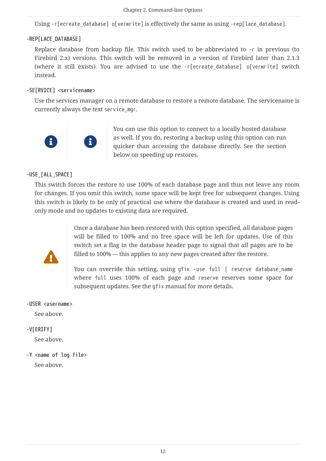Using -r[ecreate\_database] o[verwrite] is effectively the same as using -rep[lace\_database].

#### **-REP[LACE\_DATABASE]**

Replace database from backup file. This switch used to be abbreviated to -r in previous (to Firebird 2.x) versions. This switch will be removed in a version of Firebird later than 2.1.3 (where it still exists). You are advised to use the -r[ecreate\_database] o[verwrite] switch instead.

#### **-SE[RVICE] <servicename>**

Use the services manager on a remote database to restore a remote database. The servicename is currently always the text service mgr.



You can use this option to connect to a locally hosted database as well. If you do, restoring a backup using this option can run quicker than accessing the database directly. See the section below on speeding up restores.

#### **-USE\_[ALL\_SPACE]**

This switch forces the restore to use 100% of each database page and thus not leave any room for changes. If you omit this switch, some space will be kept free for subsequent changes. Using this switch is likely to be only of practical use where the database is created and used in readonly mode and no updates to existing data are required.



Once a database has been restored with this option specified, *all* database pages will be filled to 100% and no free space will be left for updates. Use of this switch set a flag in the database header page to signal that *all* pages are to be filled to 100% — this applies to any new pages created after the restore.

You can override this setting, using qfix -use full | reserve database\_name where full uses 100% of each page and reserve reserves some space for subsequent updates. See the gfix manual for more details.

## **-USER <username>**

See above.

#### **-V[ERIFY]**

See above.

**-Y <name of log file>** See above.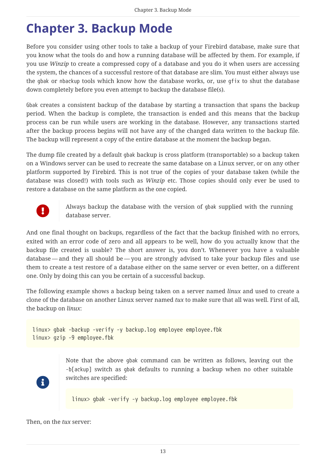# <span id="page-13-0"></span>**Chapter 3. Backup Mode**

Before you consider using other tools to take a backup of your Firebird database, make sure that you know what the tools do and how a running database will be affected by them. For example, if you use *Winzip* to create a compressed copy of a database and you do it when users are accessing the system, the chances of a successful restore of that database are slim. You must either always use the gbak or nbackup tools which know how the database works, or, use gfix to shut the database down completely before you even attempt to backup the database file(s).

Gbak creates a consistent backup of the database by starting a transaction that spans the backup period. When the backup is complete, the transaction is ended and this means that the backup process can be run while users are working in the database. However, any transactions started after the backup process begins will not have any of the changed data written to the backup file. The backup will represent a copy of the entire database at the moment the backup began.

The dump file created by a default gbak backup is cross platform (transportable) so a backup taken on a Windows server can be used to recreate the same database on a Linux server, or on any other platform supported by Firebird. This is not true of the copies of your database taken (while the database was closed!) with tools such as *Winzip* etc. Those copies should only ever be used to restore a database on the same platform as the one copied.



Always backup the database with the version of gbak supplied with the running database server.

And one final thought on backups, regardless of the fact that the backup finished with no errors, exited with an error code of zero and all appears to be well, how do you actually know that the backup file created is usable? The short answer is, you don't. Whenever you have a valuable database — and they all should be — you are strongly advised to take your backup files and use them to create a test restore of a database either on the same server or even better, on a different one. Only by doing this can you be certain of a successful backup.

The following example shows a backup being taken on a server named *linux* and used to create a clone of the database on another Linux server named *tux* to make sure that all was well. First of all, the backup on *linux*:

```
linux> gbak -backup -verify -y backup.log employee employee.fbk
linux> gzip -9 employee.fbk
```
Note that the above gbak command can be written as follows, leaving out the -b[ackup] switch as gbak defaults to running a backup when no other suitable switches are specified:

linux> gbak -verify -y backup.log employee employee.fbk

Then, on the *tux* server:

 $\mathbf{i}$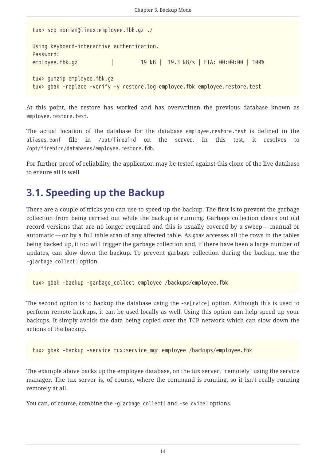```
tux> scp norman@linux:employee.fbk.gz ./
Using keyboard-interactive authentication.
Password:
employee.fbk.gz | 19 kB | 19.3 kB/s | ETA: 00:00:00 | 100%
tux> gunzip employee.fbk.gz
tux> gbak -replace -verify -y restore.log employee.fbk employee.restore.test
```
At this point, the restore has worked and has overwritten the previous database known as employee.restore.test.

The actual location of the database for the database employee.restore.test is defined in the aliases.conf file in /opt/firebird on the server. In this test, it resolves to /opt/firebird/databases/employee.restore.fdb.

For further proof of reliability, the application may be tested against this clone of the live database to ensure all is well.

# <span id="page-14-0"></span>**3.1. Speeding up the Backup**

There are a couple of tricks you can use to speed up the backup. The first is to prevent the garbage collection from being carried out while the backup is running. Garbage collection clears out old record versions that are no longer required and this is usually covered by a sweep — manual or automatic — or by a full table scan of any affected table. As gbak accesses all the rows in the tables being backed up, it too will trigger the garbage collection and, if there have been a large number of updates, can slow down the backup. To prevent garbage collection during the backup, use the -g[arbage\_collect] option.

tux> gbak -backup -garbage\_collect employee /backups/employee.fbk

The second option is to backup the database using the -se[rvice] option. Although this is used to perform remote backups, it can be used locally as well. Using this option can help speed up your backups. It simply avoids the data being copied over the TCP network which can slow down the actions of the backup.

```
tux> gbak -backup -service tux:service_mgr employee /backups/employee.fbk
```
The example above backs up the employee database, on the tux server, "remotely" using the service manager. The tux server is, of course, where the command is running, so it isn't really running remotely at all.

You can, of course, combine the -q[arbage\_collect] and -se[rvice] options.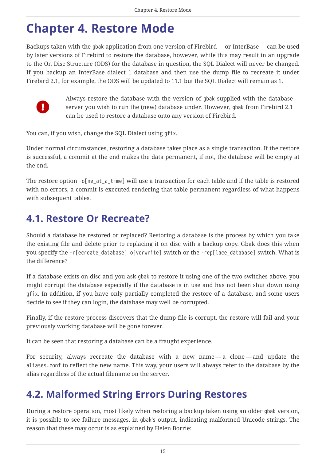# <span id="page-15-0"></span>**Chapter 4. Restore Mode**

Backups taken with the gbak application from one version of Firebird — or InterBase — can be used by later versions of Firebird to restore the database, however, while this may result in an upgrade to the On Disc Structure (ODS) for the database in question, the SQL Dialect will never be changed. If you backup an InterBase dialect 1 database and then use the dump file to recreate it under Firebird 2.1, for example, the ODS will be updated to 11.1 but the SQL Dialect will remain as 1.



Always restore the database with the version of gbak supplied with the database server you wish to run the (new) database under. However, gbak from Firebird 2.1 can be used to restore a database onto any version of Firebird.

You can, if you wish, change the SQL Dialect using gfix.

Under normal circumstances, restoring a database takes place as a single transaction. If the restore is successful, a commit at the end makes the data permanent, if not, the database will be empty at the end.

The restore option -o[ne\_at\_a\_time] will use a transaction for each table and if the table is restored with no errors, a commit is executed rendering that table permanent regardless of what happens with subsequent tables.

## <span id="page-15-1"></span>**4.1. Restore Or Recreate?**

Should a database be restored or replaced? Restoring a database is the process by which you take the existing file and delete prior to replacing it on disc with a backup copy. Gbak does this when you specify the -r[ecreate\_database] o[verwrite] switch or the -rep[lace\_database] switch. What is the difference?

If a database exists on disc and you ask gbak to restore it using one of the two switches above, you might corrupt the database especially if the database is in use and has not been shut down using gfix. In addition, if you have only partially completed the restore of a database, and some users decide to see if they can login, the database may well be corrupted.

Finally, if the restore process discovers that the dump file is corrupt, the restore will fail and your previously working database will be gone forever.

It can be seen that restoring a database can be a fraught experience.

For security, always recreate the database with a new name — a clone — and update the aliases.conf to reflect the new name. This way, your users will always refer to the database by the alias regardless of the actual filename on the server.

## <span id="page-15-2"></span>**4.2. Malformed String Errors During Restores**

During a restore operation, most likely when restoring a backup taken using an older gbak version, it is possible to see failure messages, in gbak's output, indicating malformed Unicode strings. The reason that these may occur is as explained by Helen Borrie: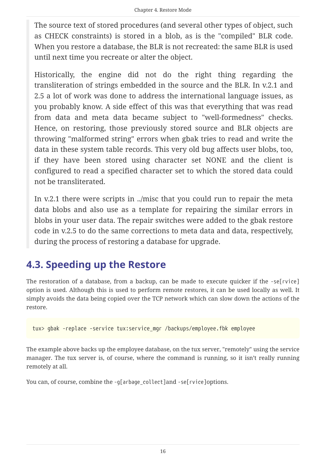The source text of stored procedures (and several other types of object, such as CHECK constraints) is stored in a blob, as is the "compiled" BLR code. When you restore a database, the BLR is not recreated: the same BLR is used until next time you recreate or alter the object.

Historically, the engine did not do the right thing regarding the transliteration of strings embedded in the source and the BLR. In v.2.1 and 2.5 a lot of work was done to address the international language issues, as you probably know. A side effect of this was that everything that was read from data and meta data became subject to "well-formedness" checks. Hence, on restoring, those previously stored source and BLR objects are throwing "malformed string" errors when gbak tries to read and write the data in these system table records. This very old bug affects user blobs, too, if they have been stored using character set NONE and the client is configured to read a specified character set to which the stored data could not be transliterated.

In v.2.1 there were scripts in ../misc that you could run to repair the meta data blobs and also use as a template for repairing the similar errors in blobs in your user data. The repair switches were added to the gbak restore code in v.2.5 to do the same corrections to meta data and data, respectively, during the process of restoring a database for upgrade.

## <span id="page-16-0"></span>**4.3. Speeding up the Restore**

The restoration of a database, from a backup, can be made to execute quicker if the -se[rvice] option is used. Although this is used to perform remote restores, it can be used locally as well. It simply avoids the data being copied over the TCP network which can slow down the actions of the restore.

tux> gbak -replace -service tux:service mgr /backups/employee.fbk employee

The example above backs up the employee database, on the tux server, "remotely" using the service manager. The tux server is, of course, where the command is running, so it isn't really running remotely at all.

You can, of course, combine the -q[arbage\_collect]and -se[rvice]options.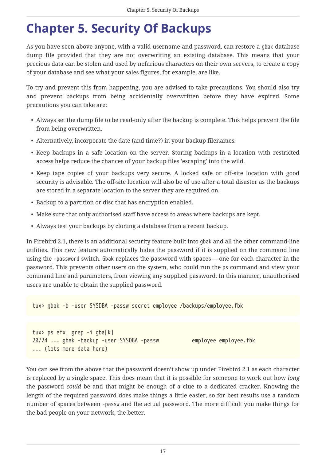# <span id="page-17-0"></span>**Chapter 5. Security Of Backups**

As you have seen above anyone, with a valid username and password, can restore a gbak database dump file provided that they are not overwriting an existing database. This means that your precious data can be stolen and used by nefarious characters on their own servers, to create a copy of your database and see what your sales figures, for example, are like.

To try and prevent this from happening, you are advised to take precautions. You should also try and prevent backups from being accidentally overwritten before they have expired. Some precautions you can take are:

- Always set the dump file to be read-only after the backup is complete. This helps prevent the file from being overwritten.
- Alternatively, incorporate the date (and time?) in your backup filenames.
- Keep backups in a safe location on the server. Storing backups in a location with restricted access helps reduce the chances of your backup files 'escaping' into the wild.
- Keep tape copies of your backups very secure. A locked safe or off-site location with good security is advisable. The off-site location will also be of use after a total disaster as the backups are stored in a separate location to the server they are required on.
- Backup to a partition or disc that has encryption enabled.
- Make sure that only authorised staff have access to areas where backups are kept.
- Always test your backups by cloning a database from a recent backup.

In Firebird 2.1, there is an additional security feature built into gbak and all the other command-line utilities. This new feature automatically hides the password if it is supplied on the command line using the -password switch. Gbak replaces the password with spaces — one for each character in the password. This prevents other users on the system, who could run the ps command and view your command line and parameters, from viewing any supplied password. In this manner, unauthorised users are unable to obtain the supplied password.

tux> gbak -b -user SYSDBA -passw secret employee /backups/employee.fbk

```
tux> ps efx| grep -i gba[k]
20724 ... gbak -backup -user SYSDBA -passw employee employee.fbk
... (lots more data here)
```
You can see from the above that the password doesn't show up under Firebird 2.1 as each character is replaced by a single space. This does mean that it is possible for someone to work out how *long* the password *could* be and that might be enough of a clue to a dedicated cracker. Knowing the length of the required password does make things a little easier, so for best results use a random number of spaces between -passw and the actual password. The more difficult you make things for the bad people on your network, the better.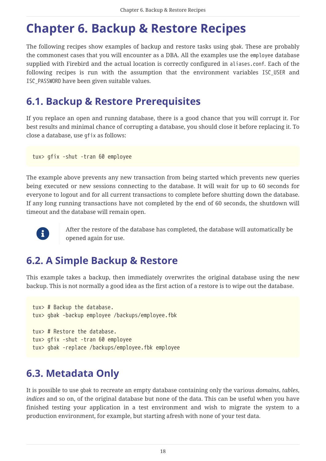# <span id="page-18-0"></span>**Chapter 6. Backup & Restore Recipes**

The following recipes show examples of backup and restore tasks using gbak. These are probably the commonest cases that you will encounter as a DBA. All the examples use the employee database supplied with Firebird and the actual location is correctly configured in aliases.conf. Each of the following recipes is run with the assumption that the environment variables ISC\_USER and ISC\_PASSWORD have been given suitable values.

## <span id="page-18-1"></span>**6.1. Backup & Restore Prerequisites**

If you replace an open and running database, there is a good chance that you will corrupt it. For best results and minimal chance of corrupting a database, you should close it before replacing it. To close a database, use gfix as follows:

tux> gfix -shut -tran 60 employee

The example above prevents any new transaction from being started which prevents new queries being executed or new sessions connecting to the database. It will wait for up to 60 seconds for everyone to logout and for all current transactions to complete before shutting down the database. If any long running transactions have not completed by the end of 60 seconds, the shutdown will timeout and the database will remain open.



After the restore of the database has completed, the database will automatically be opened again for use.

## <span id="page-18-2"></span>**6.2. A Simple Backup & Restore**

This example takes a backup, then immediately overwrites the original database using the new backup. This is not normally a good idea as the first action of a restore is to wipe out the database.

```
tux> # Backup the database.
tux> gbak -backup employee /backups/employee.fbk
tux> # Restore the database.
tux> gfix -shut -tran 60 employee
tux> gbak -replace /backups/employee.fbk employee
```
## <span id="page-18-3"></span>**6.3. Metadata Only**

It is possible to use gbak to recreate an empty database containing only the various *domains*, *tables*, *indices* and so on, of the original database but none of the data. This can be useful when you have finished testing your application in a test environment and wish to migrate the system to a production environment, for example, but starting afresh with none of your test data.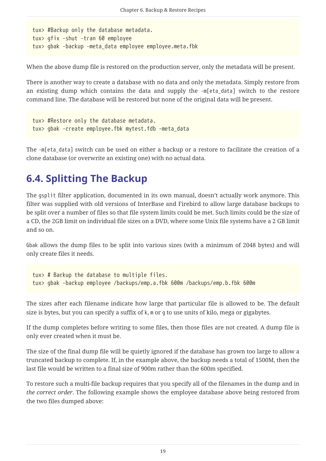```
tux> #Backup only the database metadata.
tux> gfix -shut -tran 60 employee
tux> gbak -backup -meta_data employee employee.meta.fbk
```
When the above dump file is restored on the production server, only the metadata will be present.

There is another way to create a database with no data and only the metadata. Simply restore from an existing dump which contains the data and supply the -m[eta\_data] switch to the restore command line. The database will be restored but none of the original data will be present.

```
tux> #Restore only the database metadata.
tux> gbak -create employee.fbk mytest.fdb -meta_data
```
The -m[eta\_data] switch can be used on either a backup or a restore to facilitate the creation of a clone database (or overwrite an existing one) with no actual data.

# <span id="page-19-0"></span>**6.4. Splitting The Backup**

The gsplit filter application, documented in its own manual, doesn't actually work anymore. This filter was supplied with old versions of InterBase and Firebird to allow large database backups to be split over a number of files so that file system limits could be met. Such limits could be the size of a CD, the 2GB limit on individual file sizes on a DVD, where some Unix file systems have a 2 GB limit and so on.

Gbak allows the dump files to be split into various sizes (with a minimum of 2048 bytes) and will only create files it needs.

```
tux> # Backup the database to multiple files.
tux> gbak -backup employee /backups/emp.a.fbk 600m /backups/emp.b.fbk 600m
```
The sizes after each filename indicate how large that particular file is allowed to be. The default size is bytes, but you can specify a suffix of k, m or g to use units of kilo, mega or gigabytes.

If the dump completes before writing to some files, then those files are not created. A dump file is only ever created when it must be.

The size of the final dump file will be quietly ignored if the database has grown too large to allow a truncated backup to complete. If, in the example above, the backup needs a total of 1500M, then the last file would be written to a final size of 900m rather than the 600m specified.

To restore such a multi-file backup requires that you specify all of the filenames in the dump and in *the correct order*. The following example shows the employee database above being restored from the two files dumped above: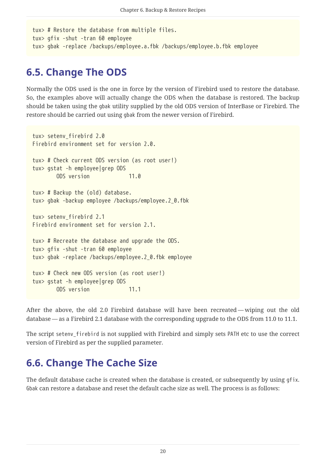```
tux> # Restore the database from multiple files.
tux> gfix -shut -tran 60 employee
tux> gbak -replace /backups/employee.a.fbk /backups/employee.b.fbk employee
```
## <span id="page-20-0"></span>**6.5. Change The ODS**

Normally the ODS used is the one in force by the version of Firebird used to restore the database. So, the examples above will actually change the ODS when the database is restored. The backup should be taken using the gbak utility supplied by the old ODS version of InterBase or Firebird. The restore should be carried out using gbak from the newer version of Firebird.

```
tux> setenv_firebird 2.0
Firebird environment set for version 2.0.
tux> # Check current ODS version (as root user!)
tux> gstat -h employee|grep ODS
         ODS version 11.0
tux> # Backup the (old) database.
tux> gbak -backup employee /backups/employee.2_0.fbk
tux> setenv_firebird 2.1
Firebird environment set for version 2.1.
tux> # Recreate the database and upgrade the ODS.
tux> gfix -shut -tran 60 employee
tux> gbak -replace /backups/employee.2_0.fbk employee
tux> # Check new ODS version (as root user!)
tux> gstat -h employee|grep ODS
         ODS version 11.1
```
After the above, the old 2.0 Firebird database will have been recreated — wiping out the old database — as a Firebird 2.1 database with the corresponding upgrade to the ODS from 11.0 to 11.1.

The script setenv\_firebird is not supplied with Firebird and simply sets PATH etc to use the correct version of Firebird as per the supplied parameter.

# <span id="page-20-1"></span>**6.6. Change The Cache Size**

The default database cache is created when the database is created, or subsequently by using gfix. Gbak can restore a database and reset the default cache size as well. The process is as follows: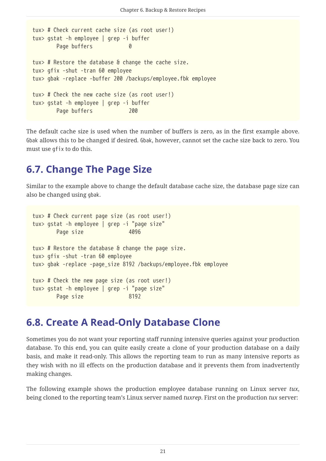```
tux> # Check current cache size (as root user!)
tux> gstat -h employee | grep -i buffer
       Page buffers
tux> # Restore the database & change the cache size.
tux> gfix -shut -tran 60 employee
tux> gbak -replace -buffer 200 /backups/employee.fbk employee
tux> # Check the new cache size (as root user!)
tux> gstat -h employee | grep -i buffer
       Page buffers 200
```
The default cache size is used when the number of buffers is zero, as in the first example above. Gbak allows this to be changed if desired. Gbak, however, cannot set the cache size back to zero. You must use gfix to do this.

## <span id="page-21-0"></span>**6.7. Change The Page Size**

Similar to the example above to change the default database cache size, the database page size can also be changed using gbak.

```
tux> # Check current page size (as root user!)
tux> gstat -h employee | grep -i "page size"
       Page size 4096
tux> # Restore the database & change the page size.
tux> gfix -shut -tran 60 employee
tux> gbak -replace -page_size 8192 /backups/employee.fbk employee
tux> # Check the new page size (as root user!)
tux> gstat -h employee | grep -i "page size"
       Page size 8192
```
### <span id="page-21-1"></span>**6.8. Create A Read-Only Database Clone**

Sometimes you do not want your reporting staff running intensive queries against your production database. To this end, you can quite easily create a clone of your production database on a daily basis, and make it read-only. This allows the reporting team to run as many intensive reports as they wish with no ill effects on the production database and it prevents them from inadvertently making changes.

The following example shows the production employee database running on Linux server *tux*, being cloned to the reporting team's Linux server named *tuxrep*. First on the production *tux* server: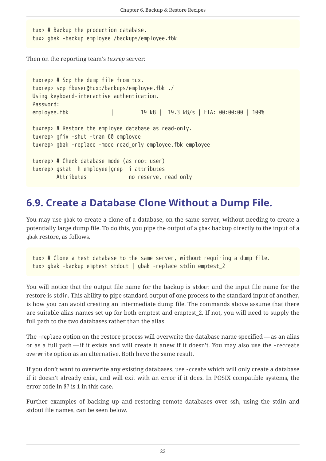tux> # Backup the production database. tux> gbak -backup employee /backups/employee.fbk

Then on the reporting team's *tuxrep* server:

```
tuxrep> # Scp the dump file from tux.
tuxrep> scp fbuser@tux:/backups/employee.fbk ./
Using keyboard-interactive authentication.
Password:
employee.fbk | 19 kB | 19.3 kB/s | ETA: 00:00:00 | 100%
tuxrep> # Restore the employee database as read-only.
tuxrep> gfix -shut -tran 60 employee
tuxrep> gbak -replace -mode read_only employee.fbk employee
tuxrep> # Check database mode (as root user)
tuxrep> gstat -h employee|grep -i attributes
         Attributes no reserve, read only
```
### <span id="page-22-0"></span>**6.9. Create a Database Clone Without a Dump File.**

You may use gbak to create a clone of a database, on the same server, without needing to create a potentially large dump file. To do this, you pipe the output of a gbak backup directly to the input of a gbak restore, as follows.

```
tux> # Clone a test database to the same server, without requiring a dump file.
tux> gbak -backup emptest stdout | gbak -replace stdin emptest_2
```
You will notice that the output file name for the backup is stdout and the input file name for the restore is stdin. This ability to pipe standard output of one process to the standard input of another, is how you can avoid creating an intermediate dump file. The commands above assume that there are suitable alias names set up for both emptest and emptest\_2. If not, you will need to supply the full path to the two databases rather than the alias.

The -replace option on the restore process will overwrite the database name specified — as an alias or as a full path — if it exists and will create it anew if it doesn't. You may also use the -recreate overwrite option as an alternative. Both have the same result.

If you don't want to overwrite any existing databases, use -create which will only create a database if it doesn't already exist, and will exit with an error if it does. In POSIX compatible systems, the error code in \$? is 1 in this case.

Further examples of backing up and restoring remote databases over ssh, using the stdin and stdout file names, can be seen below.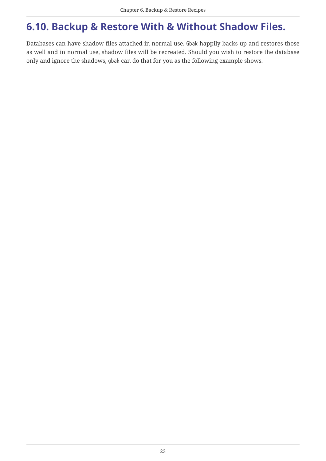# <span id="page-23-0"></span>**6.10. Backup & Restore With & Without Shadow Files.**

Databases can have shadow files attached in normal use. Gbak happily backs up and restores those as well and in normal use, shadow files will be recreated. Should you wish to restore the database only and ignore the shadows, gbak can do that for you as the following example shows.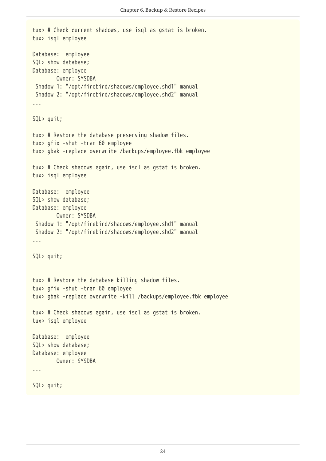```
tux> # Check current shadows, use isql as gstat is broken.
tux> isql employee
Database: employee
SQL> show database;
Database: employee
          Owner: SYSDBA
 Shadow 1: "/opt/firebird/shadows/employee.shd1" manual
 Shadow 2: "/opt/firebird/shadows/employee.shd2" manual
...
SQL> quit;
tux> # Restore the database preserving shadow files.
tux> gfix -shut -tran 60 employee
tux> gbak -replace overwrite /backups/employee.fbk employee
tux> # Check shadows again, use isql as gstat is broken.
tux> isql employee
Database: employee
SQL> show database;
Database: employee
          Owner: SYSDBA
 Shadow 1: "/opt/firebird/shadows/employee.shd1" manual
 Shadow 2: "/opt/firebird/shadows/employee.shd2" manual
...
SQL> quit;
tux> # Restore the database killing shadow files.
tux> gfix -shut -tran 60 employee
tux> gbak -replace overwrite -kill /backups/employee.fbk employee
tux> # Check shadows again, use isql as gstat is broken.
tux> isql employee
Database: employee
SQL> show database;
Database: employee
          Owner: SYSDBA
...
SQL> quit;
```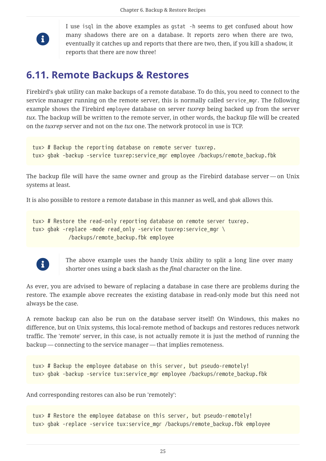

I use isql in the above examples as gstat -h seems to get confused about how many shadows there are on a database. It reports zero when there are two, eventually it catches up and reports that there are two, then, if you kill a shadow, it reports that there are now three!

### <span id="page-25-0"></span>**6.11. Remote Backups & Restores**

Firebird's gbak utility can make backups of a remote database. To do this, you need to connect to the service manager running on the remote server, this is normally called service mgr. The following example shows the Firebird employee database on server *tuxrep* being backed up from the server *tux*. The backup will be written to the remote server, in other words, the backup file will be created on the *tuxrep* server and not on the *tux* one. The network protocol in use is TCP.

tux> # Backup the reporting database on remote server tuxrep. tux> gbak -backup -service tuxrep:service\_mgr employee /backups/remote\_backup.fbk

The backup file will have the same owner and group as the Firebird database server — on Unix systems at least.

It is also possible to restore a remote database in this manner as well, and gbak allows this.

tux> # Restore the read-only reporting database on remote server tuxrep. tux> gbak -replace -mode read\_only -service tuxrep:service\_mgr \ /backups/remote\_backup.fbk employee



The above example uses the handy Unix ability to split a long line over many shorter ones using a back slash as the *final* character on the line.

As ever, you are advised to beware of replacing a database in case there are problems during the restore. The example above recreates the existing database in read-only mode but this need not always be the case.

A remote backup can also be run on the database server itself! On Windows, this makes no difference, but on Unix systems, this local-remote method of backups and restores reduces network traffic. The 'remote' server, in this case, is not actually remote it is just the method of running the backup — connecting to the service manager — that implies remoteness.

tux> # Backup the employee database on this server, but pseudo-remotely! tux> gbak -backup -service tux:service\_mgr employee /backups/remote\_backup.fbk

And corresponding restores can also be run 'remotely':

tux> # Restore the employee database on this server, but pseudo-remotely! tux> gbak -replace -service tux:service\_mgr /backups/remote\_backup.fbk employee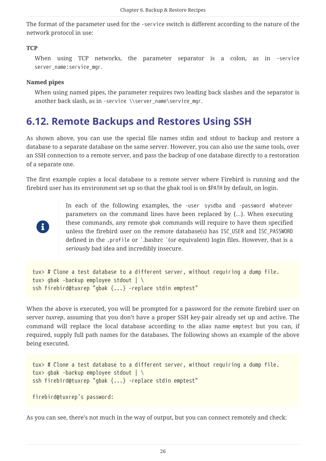The format of the parameter used for the -service switch is different according to the nature of the network protocol in use:

#### **TCP**

When using TCP networks, the parameter separator is a colon, as in -service server\_name:service\_mgr.

#### **Named pipes**

When using named pipes, the parameter requires two leading back slashes and the separator is another back slash, as in -service \\server\_name\service\_mgr.

## <span id="page-26-0"></span>**6.12. Remote Backups and Restores Using SSH**

As shown above, you can use the special file names stdin and stdout to backup and restore a database to a separate database on the same server. However, you can also use the same tools, over an SSH connection to a remote server, and pass the backup of one database directly to a restoration of a separate one.

The first example copies a local database to a remote server where Firebird is running and the firebird user has its environment set up so that the gbak tool is on \$PATH by default, on login.



In each of the following examples, the -user sysdba and -password whatever parameters on the command lines have been replaced by {…}. When executing these commands, any remote gbak commands will require to have them specified unless the firebird user on the remote database(s) has ISC\_USER and ISC\_PASSWORD defined in the .profile or `.bashrc `(or equivalent) login files. However, that is a *seriously* bad idea and incredibly insecure.

```
tux> # Clone a test database to a different server, without requiring a dump file.
tux> gbak -backup employee stdout | \
ssh firebird@tuxrep "gbak {...} -replace stdin emptest"
```
When the above is executed, you will be prompted for a password for the remote firebird user on server *tuxrep*, assuming that you don't have a proper SSH key-pair already set up and active. The command will replace the local database according to the alias name emptest but you can, if required, supply full path names for the databases. The following shows an example of the above being executed.

```
tux> # Clone a test database to a different server, without requiring a dump file.
tux> gbak -backup employee stdout | \
ssh firebird@tuxrep "gbak {...} -replace stdin emptest"
```

```
firebird@tuxrep's password:
```
As you can see, there's not much in the way of output, but you can connect remotely and check: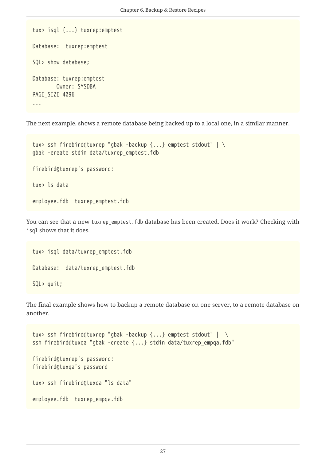```
tux> isql {...} tuxrep:emptest
Database: tuxrep:emptest
SQL> show database;
Database: tuxrep:emptest
          Owner: SYSDBA
PAGE SIZE 4096
...
```
The next example, shows a remote database being backed up to a local one, in a similar manner.

```
tux> ssh firebird@tuxrep "gbak -backup {...} emptest stdout" | \
gbak -create stdin data/tuxrep_emptest.fdb
firebird@tuxrep's password:
tux> ls data
```
You can see that a new tuxrep\_emptest.fdb database has been created. Does it work? Checking with isql shows that it does.

```
tux> isql data/tuxrep_emptest.fdb
Database: data/tuxrep_emptest.fdb
SQL> quit;
```
employee.fdb tuxrep\_emptest.fdb

The final example shows how to backup a remote database on one server, to a remote database on another.

```
tux> ssh firebird@tuxrep "gbak -backup {...} emptest stdout" | \
ssh firebird@tuxqa "gbak -create {...} stdin data/tuxrep_empqa.fdb"
firebird@tuxrep's password:
firebird@tuxqa's password
tux> ssh firebird@tuxqa "ls data"
employee.fdb tuxrep_empqa.fdb
```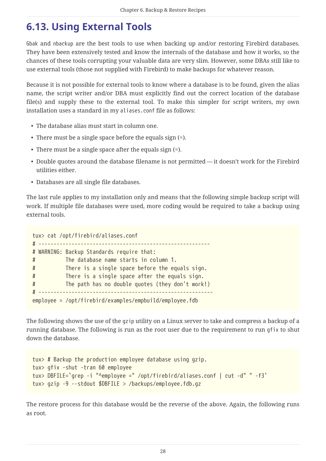# <span id="page-28-0"></span>**6.13. Using External Tools**

Gbak and nbackup are the best tools to use when backing up and/or restoring Firebird databases. They have been extensively tested and know the internals of the database and how it works, so the chances of these tools corrupting your valuable data are very slim. However, some DBAs still like to use external tools (those not supplied with Firebird) to make backups for whatever reason.

Because it is not possible for external tools to know where a database is to be found, given the alias name, the script writer and/or DBA must explicitly find out the correct location of the database file(s) and supply these to the external tool. To make this simpler for script writers, my own installation uses a standard in my aliases.conf file as follows:

- The database alias must start in column one.
- There must be a single space before the equals sign (=).
- There must be a single space after the equals sign (=).
- Double quotes around the database filename is not permitted it doesn't work for the Firebird utilities either.
- Databases are all single file databases.

The last rule applies to my installation only and means that the following simple backup script will work. If multiple file databases were used, more coding would be required to take a backup using external tools.

```
tux> cat /opt/firebird/aliases.conf
# ---------------------------------------------------------
# WARNING: Backup Standards require that:
# The database name starts in column 1.
# There is a single space before the equals sign.
# There is a single space after the equals sign.
# The path has no double quotes (they don't work!)
# ----------------------------------------------------------
employee = /opt/firebird/examples/empbuild/employee.fdb
```
The following shows the use of the gzip utility on a Linux server to take and compress a backup of a running database. The following is run as the root user due to the requirement to run gfix to shut down the database.

```
tux> # Backup the production employee database using gzip.
tux> gfix -shut -tran 60 employee
tux> DBFILE=`grep -i "^employee =" /opt/firebird/aliases.conf | cut -d" " -f3`
tux> gzip -9 --stdout $DBFILE > /backups/employee.fdb.gz
```
The restore process for this database would be the reverse of the above. Again, the following runs as root.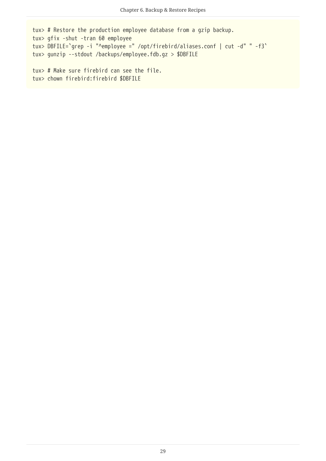```
tux> # Restore the production employee database from a gzip backup.
tux> gfix -shut -tran 60 employee
tux> DBFILE=`grep -i "^employee =" /opt/firebird/aliases.conf | cut -d" " -f3`
tux> gunzip --stdout /backups/employee.fdb.gz > $DBFILE
```

```
tux> # Make sure firebird can see the file.
tux> chown firebird:firebird $DBFILE
```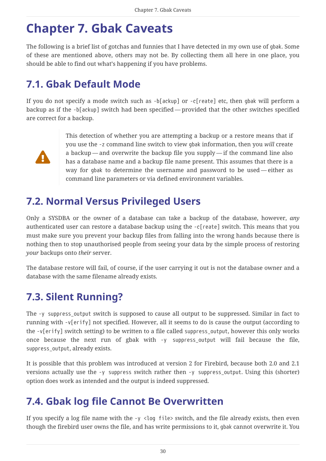# <span id="page-30-0"></span>**Chapter 7. Gbak Caveats**

The following is a brief list of gotchas and funnies that I have detected in my own use of gbak. Some of these are mentioned above, others may not be. By collecting them all here in one place, you should be able to find out what's happening if you have problems.

# <span id="page-30-1"></span>**7.1. Gbak Default Mode**

If you do not specify a mode switch such as -b[ackup] or -c[reate] etc, then gbak will perform a backup as if the -b[ackup] switch had been specified — provided that the other switches specified are correct for a backup.



This detection of whether you are attempting a backup or a restore means that if you use the -z command line switch to view gbak information, then you *will* create a backup — and overwrite the backup file you supply — if the command line also has a database name and a backup file name present. This assumes that there is a way for gbak to determine the username and password to be used — either as command line parameters or via defined environment variables.

## <span id="page-30-2"></span>**7.2. Normal Versus Privileged Users**

Only a SYSDBA or the owner of a database can take a backup of the database, however, *any* authenticated user can restore a database backup using the -c[reate] switch. This means that you must make sure you prevent your backup files from falling into the wrong hands because there is nothing then to stop unauthorised people from seeing your data by the simple process of restoring *your* backups onto *their* server.

The database restore will fail, of course, if the user carrying it out is not the database owner and a database with the same filename already exists.

# <span id="page-30-3"></span>**7.3. Silent Running?**

The -y suppress\_output switch is supposed to cause all output to be suppressed. Similar in fact to running with -v[erify] not specified. However, all it seems to do is cause the output (according to the -v[erify] switch setting) to be written to a file called suppress\_output, however this only works once because the next run of gbak with -y suppress\_output will fail because the file, suppress\_output, already exists.

It is possible that this problem was introduced at version 2 for Firebird, because both 2.0 and 2.1 versions actually use the -y suppress switch rather then -y suppress\_output. Using this (shorter) option does work as intended and the output is indeed suppressed.

## <span id="page-30-4"></span>**7.4. Gbak log file Cannot Be Overwritten**

If you specify a log file name with the  $-y \lt$ log file> switch, and the file already exists, then even though the firebird user owns the file, and has write permissions to it, gbak cannot overwrite it. You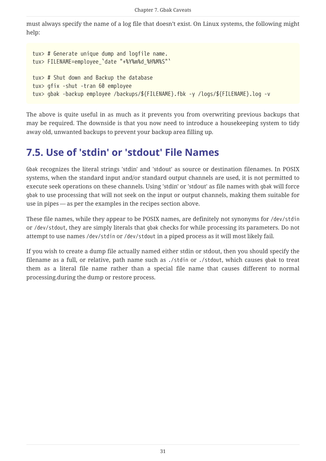must always specify the name of a log file that doesn't exist. On Linux systems, the following might help:

```
tux> # Generate unique dump and logfile name.
tux> FILENAME=employee_`date "+%Y%m%d_%H%M%S"`
tux> # Shut down and Backup the database
tux> gfix -shut -tran 60 employee
tux> gbak -backup employee /backups/${FILENAME}.fbk -y /logs/${FILENAME}.log -v
```
The above is quite useful in as much as it prevents you from overwriting previous backups that may be required. The downside is that you now need to introduce a housekeeping system to tidy away old, unwanted backups to prevent your backup area filling up.

## <span id="page-31-0"></span>**7.5. Use of 'stdin' or 'stdout' File Names**

Gbak recognizes the literal strings 'stdin' and 'stdout' as source or destination filenames. In POSIX systems, when the standard input and/or standard output channels are used, it is not permitted to execute seek operations on these channels. Using 'stdin' or 'stdout' as file names with gbak will force gbak to use processing that will not seek on the input or output channels, making them suitable for use in pipes — as per the examples in the recipes section above.

These file names, while they appear to be POSIX names, are definitely not synonyms for /dev/stdin or /dev/stdout, they are simply literals that gbak checks for while processing its parameters. Do not attempt to use names /dev/stdin or /dev/stdout in a piped process as it will most likely fail.

If you wish to create a dump file actually named either stdin or stdout, then you should specify the filename as a full, or relative, path name such as ./stdin or ./stdout, which causes gbak to treat them as a literal file name rather than a special file name that causes different to normal processing.during the dump or restore process.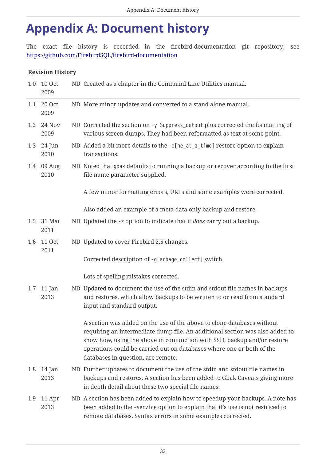# <span id="page-32-0"></span>**Appendix A: Document history**

The exact file history is recorded in the firebird-documentation git repository; see <https://github.com/FirebirdSQL/firebird-documentation>

#### **Revision History**

|     | 1.0 10 Oct<br>2009    | ND Created as a chapter in the Command Line Utilities manual.                                                                                                                                                                                                                                                                                     |
|-----|-----------------------|---------------------------------------------------------------------------------------------------------------------------------------------------------------------------------------------------------------------------------------------------------------------------------------------------------------------------------------------------|
| 1.1 | 20 Oct<br>2009        | ND More minor updates and converted to a stand alone manual.                                                                                                                                                                                                                                                                                      |
| 1.2 | 24 Nov<br>2009        | ND Corrected the section on -y Suppress_output plus corrected the formatting of<br>various screen dumps. They had been reformatted as text at some point.                                                                                                                                                                                         |
|     | 1.3 24 Jun<br>2010    | ND Added a bit more details to the -o[ne_at_a_time] restore option to explain<br>transactions.                                                                                                                                                                                                                                                    |
|     | 1.4 09 Aug<br>2010    | ND Noted that gbak defaults to running a backup or recover according to the first<br>file name parameter supplied.                                                                                                                                                                                                                                |
|     |                       | A few minor formatting errors, URLs and some examples were corrected.                                                                                                                                                                                                                                                                             |
|     |                       | Also added an example of a meta data only backup and restore.                                                                                                                                                                                                                                                                                     |
| 1.5 | 31 Mar<br>2011        | ND Updated the -z option to indicate that it <i>does</i> carry out a backup.                                                                                                                                                                                                                                                                      |
| 1.6 | <b>11 Oct</b><br>2011 | ND Updated to cover Firebird 2.5 changes.                                                                                                                                                                                                                                                                                                         |
|     |                       | Corrected description of -g[arbage_collect] switch.                                                                                                                                                                                                                                                                                               |
|     |                       | Lots of spelling mistakes corrected.                                                                                                                                                                                                                                                                                                              |
|     | 1.7 11 Jan<br>2013    | ND Updated to document the use of the stdin and stdout file names in backups<br>and restores, which allow backups to be written to or read from standard<br>input and standard output.                                                                                                                                                            |
|     |                       | A section was added on the use of the above to clone databases without<br>requiring an intermediate dump file. An additional section was also added to<br>show how, using the above in conjunction with SSH, backup and/or restore<br>operations could be carried out on databases where one or both of the<br>databases in question, are remote. |
| 1.8 | $14$ Jan<br>2013      | ND Further updates to document the use of the stdin and stdout file names in<br>backups and restores. A section has been added to Gbak Caveats giving more<br>in depth detail about these two special file names.                                                                                                                                 |
| 1.9 | 11 Apr<br>2013        | ND A section has been added to explain how to speedup your backups. A note has<br>been added to the -service option to explain that it's use is not restriced to<br>remote databases. Syntax errors in some examples corrected.                                                                                                                   |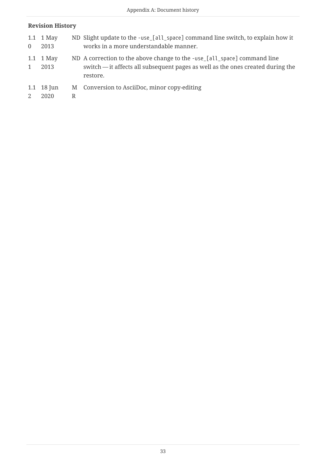#### **Revision History**

| $\Omega$ | 1.1 1 May<br>2013            |   | ND Slight update to the -use_[all_space] command line switch, to explain how it<br>works in a more understandable manner.                                               |
|----------|------------------------------|---|-------------------------------------------------------------------------------------------------------------------------------------------------------------------------|
| 1        | 1.1 1 May<br>2013            |   | ND A correction to the above change to the -use [all_space] command line<br>switch — it affects all subsequent pages as well as the ones created during the<br>restore. |
| 2        | 1.1 $18 \text{ Jun}$<br>2020 | R | M Conversion to AsciiDoc, minor copy-editing                                                                                                                            |